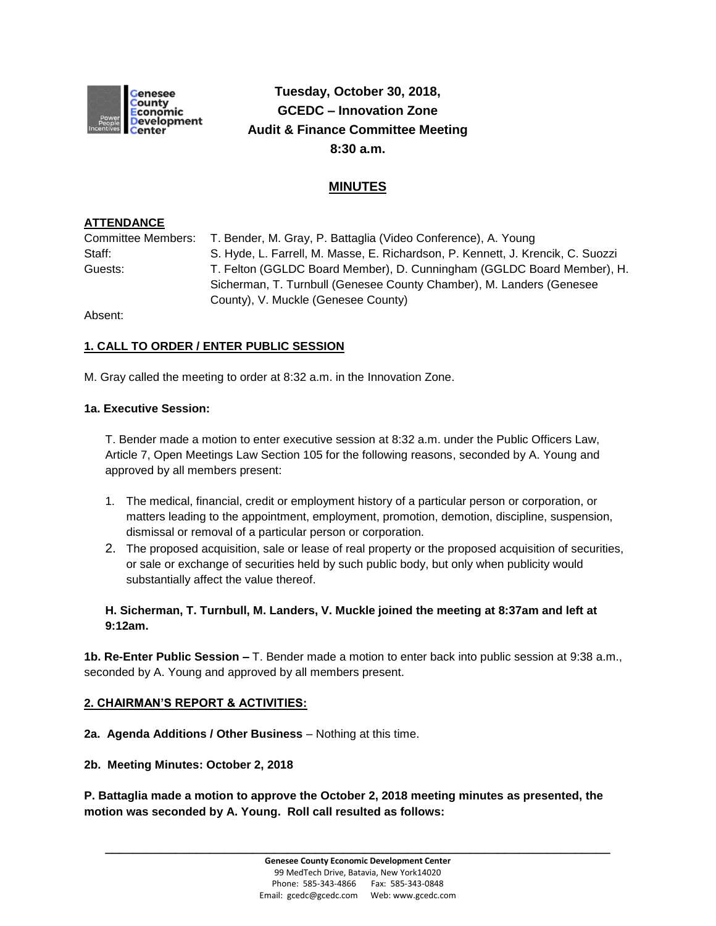

# **Tuesday, October 30, 2018, GCEDC – Innovation Zone Audit & Finance Committee Meeting 8:30 a.m.**

# **MINUTES**

### **ATTENDANCE**

Committee Members: T. Bender, M. Gray, P. Battaglia (Video Conference), A. Young Staff: S. Hyde, L. Farrell, M. Masse, E. Richardson, P. Kennett, J. Krencik, C. Suozzi Guests: T. Felton (GGLDC Board Member), D. Cunningham (GGLDC Board Member), H. Sicherman, T. Turnbull (Genesee County Chamber), M. Landers (Genesee County), V. Muckle (Genesee County)

Absent:

## **1. CALL TO ORDER / ENTER PUBLIC SESSION**

M. Gray called the meeting to order at 8:32 a.m. in the Innovation Zone.

#### **1a. Executive Session:**

T. Bender made a motion to enter executive session at 8:32 a.m. under the Public Officers Law, Article 7, Open Meetings Law Section 105 for the following reasons, seconded by A. Young and approved by all members present:

- 1. The medical, financial, credit or employment history of a particular person or corporation, or matters leading to the appointment, employment, promotion, demotion, discipline, suspension, dismissal or removal of a particular person or corporation.
- 2. The proposed acquisition, sale or lease of real property or the proposed acquisition of securities, or sale or exchange of securities held by such public body, but only when publicity would substantially affect the value thereof.

#### **H. Sicherman, T. Turnbull, M. Landers, V. Muckle joined the meeting at 8:37am and left at 9:12am.**

**1b. Re-Enter Public Session –** T. Bender made a motion to enter back into public session at 9:38 a.m., seconded by A. Young and approved by all members present.

#### **2. CHAIRMAN'S REPORT & ACTIVITIES:**

**2a. Agenda Additions / Other Business** – Nothing at this time.

**2b. Meeting Minutes: October 2, 2018**

**P. Battaglia made a motion to approve the October 2, 2018 meeting minutes as presented, the motion was seconded by A. Young. Roll call resulted as follows:**

**\_\_\_\_\_\_\_\_\_\_\_\_\_\_\_\_\_\_\_\_\_\_\_\_\_\_\_\_\_\_\_\_\_\_\_\_\_\_\_\_\_\_\_\_\_\_\_\_\_\_\_\_\_\_\_\_\_\_\_\_\_\_\_\_\_\_\_\_\_\_\_\_**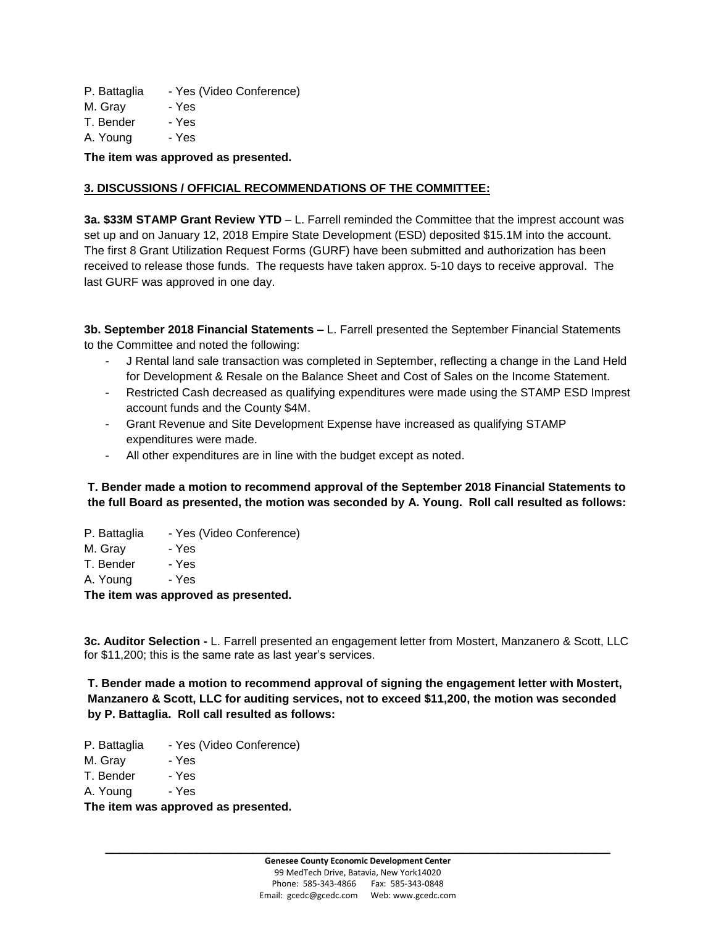P. Battaglia - Yes (Video Conference)

M. Gray - Yes

T. Bender - Yes

A. Young - Yes

**The item was approved as presented.**

#### **3. DISCUSSIONS / OFFICIAL RECOMMENDATIONS OF THE COMMITTEE:**

**3a. \$33M STAMP Grant Review YTD** – L. Farrell reminded the Committee that the imprest account was set up and on January 12, 2018 Empire State Development (ESD) deposited \$15.1M into the account. The first 8 Grant Utilization Request Forms (GURF) have been submitted and authorization has been received to release those funds. The requests have taken approx. 5-10 days to receive approval. The last GURF was approved in one day.

**3b. September 2018 Financial Statements –** L. Farrell presented the September Financial Statements to the Committee and noted the following:

- J Rental land sale transaction was completed in September, reflecting a change in the Land Held for Development & Resale on the Balance Sheet and Cost of Sales on the Income Statement.
- Restricted Cash decreased as qualifying expenditures were made using the STAMP ESD Imprest account funds and the County \$4M.
- Grant Revenue and Site Development Expense have increased as qualifying STAMP expenditures were made.
- All other expenditures are in line with the budget except as noted.

**T. Bender made a motion to recommend approval of the September 2018 Financial Statements to the full Board as presented, the motion was seconded by A. Young. Roll call resulted as follows:**

- P. Battaglia Yes (Video Conference)
- M. Gray Yes

T. Bender - Yes

A. Young - Yes

**The item was approved as presented.**

**3c. Auditor Selection -** L. Farrell presented an engagement letter from Mostert, Manzanero & Scott, LLC for \$11,200; this is the same rate as last year's services.

**T. Bender made a motion to recommend approval of signing the engagement letter with Mostert, Manzanero & Scott, LLC for auditing services, not to exceed \$11,200, the motion was seconded by P. Battaglia. Roll call resulted as follows:**

- P. Battaglia Yes (Video Conference)
- M. Gray Yes
- T. Bender Yes
- A. Young Yes

**The item was approved as presented.**

**\_\_\_\_\_\_\_\_\_\_\_\_\_\_\_\_\_\_\_\_\_\_\_\_\_\_\_\_\_\_\_\_\_\_\_\_\_\_\_\_\_\_\_\_\_\_\_\_\_\_\_\_\_\_\_\_\_\_\_\_\_\_\_\_\_\_\_\_\_\_\_\_**